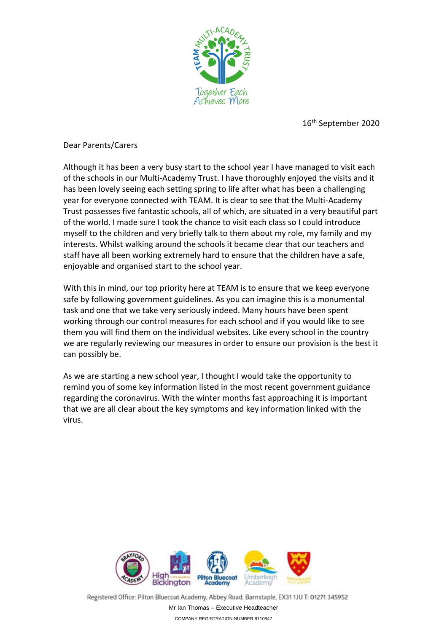

16th September 2020

Dear Parents/Carers

Although it has been a very busy start to the school year I have managed to visit each of the schools in our Multi-Academy Trust. I have thoroughly enjoyed the visits and it has been lovely seeing each setting spring to life after what has been a challenging year for everyone connected with TEAM. It is clear to see that the Multi-Academy Trust possesses five fantastic schools, all of which, are situated in a very beautiful part of the world. I made sure I took the chance to visit each class so I could introduce myself to the children and very briefly talk to them about my role, my family and my interests. Whilst walking around the schools it became clear that our teachers and staff have all been working extremely hard to ensure that the children have a safe, enjoyable and organised start to the school year.

With this in mind, our top priority here at TEAM is to ensure that we keep everyone safe by following government guidelines. As you can imagine this is a monumental task and one that we take very seriously indeed. Many hours have been spent working through our control measures for each school and if you would like to see them you will find them on the individual websites. Like every school in the country we are regularly reviewing our measures in order to ensure our provision is the best it can possibly be.

As we are starting a new school year, I thought I would take the opportunity to remind you of some key information listed in the most recent government guidance regarding the coronavirus. With the winter months fast approaching it is important that we are all clear about the key symptoms and key information linked with the virus.



Registered Office: Pilton Bluecoat Academy, Abbey Road, Barnstaple, EX31 1JU T: 01271 345952 Mr Ian Thomas – Executive Headteacher COMPANY REGISTRATION NUMBER 8110847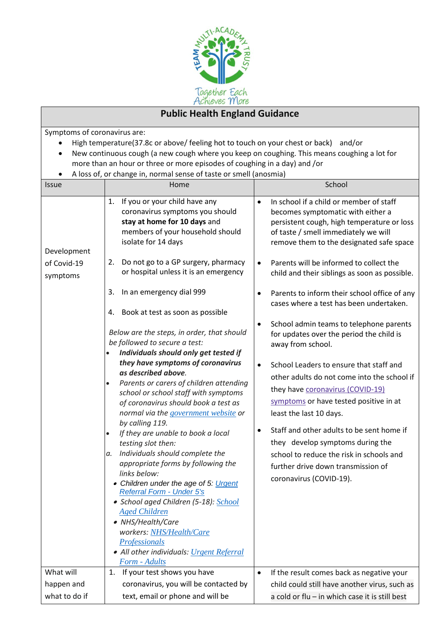

## **Public Health England Guidance**

Symptoms of coronavirus are:

- High temperature(37.8c or above/ feeling hot to touch on your chest or back) and/or
- New continuous cough (a new cough where you keep on coughing. This means coughing a lot for more than an hour or three or more episodes of coughing in a day) and /or
- A loss of, or change in, normal sense of taste or smell (anosmia)

|               | A loss of, or change in, normal sense of taste or smell (anosmia)                                                                                                 |                                                                                                                                                                                                                             |
|---------------|-------------------------------------------------------------------------------------------------------------------------------------------------------------------|-----------------------------------------------------------------------------------------------------------------------------------------------------------------------------------------------------------------------------|
| <b>Issue</b>  | Home                                                                                                                                                              | School                                                                                                                                                                                                                      |
| Development   | If you or your child have any<br>1.<br>coronavirus symptoms you should<br>stay at home for 10 days and<br>members of your household should<br>isolate for 14 days | In school if a child or member of staff<br>$\bullet$<br>becomes symptomatic with either a<br>persistent cough, high temperature or loss<br>of taste / smell immediately we will<br>remove them to the designated safe space |
| of Covid-19   | Do not go to a GP surgery, pharmacy<br>2.                                                                                                                         | Parents will be informed to collect the<br>$\bullet$                                                                                                                                                                        |
| symptoms      | or hospital unless it is an emergency                                                                                                                             | child and their siblings as soon as possible.                                                                                                                                                                               |
|               | In an emergency dial 999<br>3.                                                                                                                                    | Parents to inform their school office of any<br>٠<br>cases where a test has been undertaken.                                                                                                                                |
|               | 4. Book at test as soon as possible                                                                                                                               |                                                                                                                                                                                                                             |
|               | Below are the steps, in order, that should<br>be followed to secure a test:<br>Individuals should only get tested if                                              | School admin teams to telephone parents<br>٠<br>for updates over the period the child is<br>away from school.                                                                                                               |
|               | they have symptoms of coronavirus                                                                                                                                 |                                                                                                                                                                                                                             |
|               | as described above.                                                                                                                                               | School Leaders to ensure that staff and<br>$\bullet$                                                                                                                                                                        |
|               | Parents or carers of children attending<br>$\bullet$                                                                                                              | other adults do not come into the school if                                                                                                                                                                                 |
|               | school or school staff with symptoms                                                                                                                              | they have coronavirus (COVID-19)                                                                                                                                                                                            |
|               | of coronavirus should book a test as                                                                                                                              | symptoms or have tested positive in at                                                                                                                                                                                      |
|               | normal via the government website or                                                                                                                              | least the last 10 days.                                                                                                                                                                                                     |
|               | by calling 119.                                                                                                                                                   |                                                                                                                                                                                                                             |
|               | If they are unable to book a local<br>$\bullet$                                                                                                                   | Staff and other adults to be sent home if                                                                                                                                                                                   |
|               | testing slot then:                                                                                                                                                | they develop symptoms during the                                                                                                                                                                                            |
|               | Individuals should complete the<br>а.                                                                                                                             | school to reduce the risk in schools and                                                                                                                                                                                    |
|               | appropriate forms by following the                                                                                                                                | further drive down transmission of                                                                                                                                                                                          |
|               | links below:                                                                                                                                                      | coronavirus (COVID-19).                                                                                                                                                                                                     |
|               | • Children under the age of 5: Urgent                                                                                                                             |                                                                                                                                                                                                                             |
|               | Referral Form - Under 5's                                                                                                                                         |                                                                                                                                                                                                                             |
|               | • School aged Children (5-18): School<br><b>Aged Children</b>                                                                                                     |                                                                                                                                                                                                                             |
|               | • NHS/Health/Care                                                                                                                                                 |                                                                                                                                                                                                                             |
|               | workers: NHS/Health/Care                                                                                                                                          |                                                                                                                                                                                                                             |
|               | <b>Professionals</b>                                                                                                                                              |                                                                                                                                                                                                                             |
|               | • All other individuals: Urgent Referral                                                                                                                          |                                                                                                                                                                                                                             |
|               | Form - Adults                                                                                                                                                     |                                                                                                                                                                                                                             |
| What will     | If your test shows you have<br>1.                                                                                                                                 | If the result comes back as negative your<br>$\bullet$                                                                                                                                                                      |
| happen and    | coronavirus, you will be contacted by                                                                                                                             | child could still have another virus, such as                                                                                                                                                                               |
| what to do if | text, email or phone and will be                                                                                                                                  | a cold or flu - in which case it is still best                                                                                                                                                                              |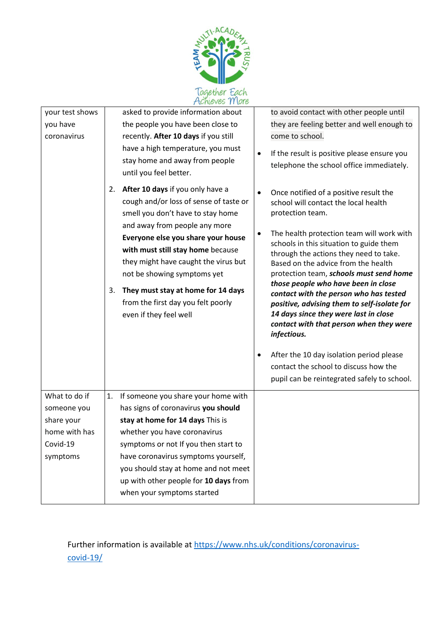

| your test shows             | asked to provide information about                                               | to avoid contact with other people until                                                  |
|-----------------------------|----------------------------------------------------------------------------------|-------------------------------------------------------------------------------------------|
| you have                    | the people you have been close to                                                | they are feeling better and well enough to                                                |
| coronavirus                 | recently. After 10 days if you still                                             | come to school.                                                                           |
|                             | have a high temperature, you must                                                | If the result is positive please ensure you                                               |
|                             | stay home and away from people                                                   | telephone the school office immediately.                                                  |
|                             | until you feel better.                                                           |                                                                                           |
|                             | After 10 days if you only have a<br>2.                                           | Once notified of a positive result the                                                    |
|                             | cough and/or loss of sense of taste or                                           | school will contact the local health                                                      |
|                             | smell you don't have to stay home                                                | protection team.                                                                          |
|                             | and away from people any more                                                    |                                                                                           |
|                             | Everyone else you share your house                                               | The health protection team will work with<br>٠<br>schools in this situation to guide them |
|                             | with must still stay home because                                                | through the actions they need to take.                                                    |
|                             | they might have caught the virus but                                             | Based on the advice from the health                                                       |
|                             | not be showing symptoms yet                                                      | protection team, schools must send home                                                   |
|                             | They must stay at home for 14 days<br>3.                                         | those people who have been in close<br>contact with the person who has tested             |
|                             | from the first day you felt poorly                                               | positive, advising them to self-isolate for                                               |
|                             | even if they feel well                                                           | 14 days since they were last in close                                                     |
|                             |                                                                                  | contact with that person when they were                                                   |
|                             |                                                                                  | infectious.                                                                               |
|                             |                                                                                  | After the 10 day isolation period please<br>$\bullet$                                     |
|                             |                                                                                  | contact the school to discuss how the                                                     |
|                             |                                                                                  | pupil can be reintegrated safely to school.                                               |
|                             |                                                                                  |                                                                                           |
| What to do if               | If someone you share your home with<br>1.<br>has signs of coronavirus you should |                                                                                           |
| someone you                 |                                                                                  |                                                                                           |
| share your<br>home with has | stay at home for 14 days This is                                                 |                                                                                           |
| Covid-19                    | whether you have coronavirus<br>symptoms or not If you then start to             |                                                                                           |
| symptoms                    | have coronavirus symptoms yourself,                                              |                                                                                           |
|                             | you should stay at home and not meet                                             |                                                                                           |
|                             | up with other people for 10 days from                                            |                                                                                           |
|                             | when your symptoms started                                                       |                                                                                           |
|                             |                                                                                  |                                                                                           |

Further information is available at [https://www.nhs.uk/conditions/coronavirus](https://www.nhs.uk/conditions/coronavirus-covid-19/)[covid-19/](https://www.nhs.uk/conditions/coronavirus-covid-19/)